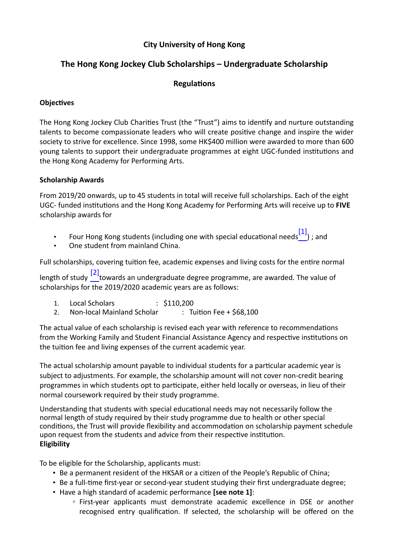# **City University of Hong Kong**

# **The Hong Kong Jockey Club Scholarships – Undergraduate Scholarship**

## **RegulaƟons**

## **Objectives**

The Hong Kong Jockey Club Charities Trust (the "Trust") aims to identify and nurture outstanding talents to become compassionate leaders who will create positive change and inspire the wider society to strive for excellence. Since 1998, some HK\$400 million were awarded to more than 600 young talents to support their undergraduate programmes at eight UGC-funded institutions and the Hong Kong Academy for Performing Arts.

## **Scholarship Awards**

From 2019/20 onwards, up to 45 students in total will receive full scholarships. Each of the eight UGC- funded institutions and the Hong Kong Academy for Performing Arts will receive up to **FIVE** scholarship awards for

- Four Hong Kong students (including one with special educational needs  $\begin{bmatrix} 1 \end{bmatrix}$  ; and
- One student from mainland China.

Full scholarships, covering tuition fee, academic expenses and living costs for the entire normal length of study  $\begin{bmatrix} 2 \end{bmatrix}$  towards an undergraduate degree programme, are awarded. The value of scholarships for the 2019/2020 academic years are as follows:

- 1. Local Scholars : \$110,200
- 2. Non-local Mainland Scholar : Tuition Fee + \$68,100

The actual value of each scholarship is revised each year with reference to recommendations from the Working Family and Student Financial Assistance Agency and respective institutions on the tuition fee and living expenses of the current academic year.

The actual scholarship amount payable to individual students for a particular academic year is subject to adjustments. For example, the scholarship amount will not cover non-credit bearing programmes in which students opt to participate, either held locally or overseas, in lieu of their normal coursework required by their study programme.

Understanding that students with special educational needs may not necessarily follow the normal length of study required by their study programme due to health or other special conditions, the Trust will provide flexibility and accommodation on scholarship payment schedule upon request from the students and advice from their respective institution. **Eligibility**

To be eligible for the Scholarship, applicants must:

- Be a permanent resident of the HKSAR or a citizen of the People's Republic of China;
- Be a full-time first-year or second-year student studying their first undergraduate degree;
- Have a high standard of academic performance **[see note 1]**:
	- Firstyear applicants must demonstrate academic excellence in DSE or another recognised entry qualification. If selected, the scholarship will be offered on the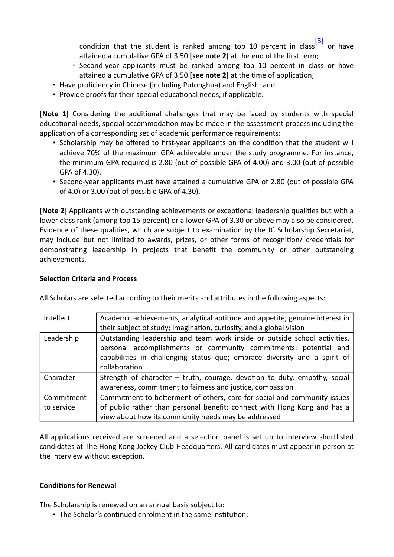condition that the student is ranked among top 10 percent in class $\frac{[3]}{[3]}$  or have attained a cumulative GPA of 3.50 **[see note 2]** at the end of the first term;

- Second-year applicants must be ranked among top 10 percent in class or have attained a cumulative GPA of 3.50 [see note 2] at the time of application;
- Have proficiency in Chinese (including Putonghua) and English; and
- Provide proofs for their special educational needs, if applicable.

**[Note 1]** Considering the additional challenges that may be faced by students with special educational needs, special accommodation may be made in the assessment process including the application of a corresponding set of academic performance requirements:

- Scholarship may be offered to first-year applicants on the condition that the student will achieve 70% of the maximum GPA achievable under the study programme. For instance, the minimum GPA required is 2.80 (out of possible GPA of 4.00) and 3.00 (out of possible GPA of 4.30).
- Second-year applicants must have attained a cumulative GPA of 2.80 (out of possible GPA of 4.0) or 3.00 (out of possible GPA of 4.30).

**[Note 2]** Applicants with outstanding achievements or exceptional leadership qualities but with a lower class rank (among top 15 percent) or a lower GPA of 3.30 or above may also be considered. Evidence of these qualities, which are subject to examination by the JC Scholarship Secretariat, may include but not limited to awards, prizes, or other forms of recognition/ credentials for demonstrating leadership in projects that benefit the community or other outstanding achievements.

#### **Selection Criteria and Process**

| Intellect  | Academic achievements, analytical aptitude and appetite; genuine interest in |
|------------|------------------------------------------------------------------------------|
|            | their subject of study; imagination, curiosity, and a global vision          |
| Leadership | Outstanding leadership and team work inside or outside school activities,    |
|            | personal accomplishments or community commitments; potential and             |
|            | capabilities in challenging status quo; embrace diversity and a spirit of    |
|            | collaboration                                                                |
| Character  | Strength of character - truth, courage, devotion to duty, empathy, social    |
|            | awareness, commitment to fairness and justice, compassion                    |
| Commitment | Commitment to betterment of others, care for social and community issues     |
| to service | of public rather than personal benefit; connect with Hong Kong and has a     |
|            | view about how its community needs may be addressed                          |

All Scholars are selected according to their merits and attributes in the following aspects:

All applications received are screened and a selection panel is set up to interview shortlisted candidates at The Hong Kong Jockey Club Headquarters. All candidates must appear in person at the interview without exception.

#### **Conditions for Renewal**

The Scholarship is renewed on an annual basis subject to:

• The Scholar's continued enrolment in the same institution;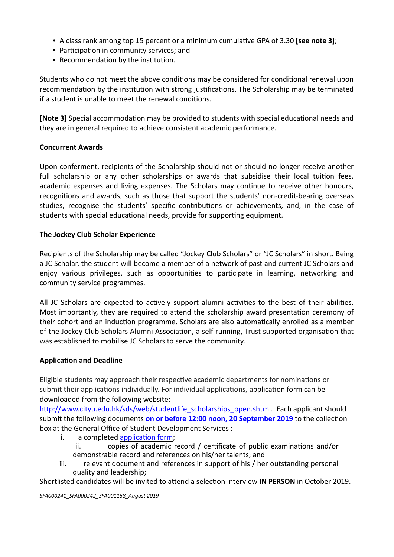- A class rank among top 15 percent or a minimum cumulative GPA of 3.30 **[see note 3]**;
- Participation in community services; and
- Recommendation by the institution.

Students who do not meet the above conditions may be considered for conditional renewal upon recommendation by the institution with strong justifications. The Scholarship may be terminated if a student is unable to meet the renewal conditions.

**[Note 3]** Special accommodation may be provided to students with special educational needs and they are in general required to achieve consistent academic performance.

## **Concurrent Awards**

Upon conferment, recipients of the Scholarship should not or should no longer receive another full scholarship or any other scholarships or awards that subsidise their local tuition fees, academic expenses and living expenses. The Scholars may continue to receive other honours, recognitions and awards, such as those that support the students' non-credit-bearing overseas studies, recognise the students' specific contributions or achievements, and, in the case of students with special educational needs, provide for supporting equipment.

#### **The Jockey Club Scholar Experience**

Recipients of the Scholarship may be called "Jockey Club Scholars" or "JC Scholars" in short. Being a JC Scholar, the student will become a member of a network of past and current JC Scholars and enjoy various privileges, such as opportunities to participate in learning, networking and community service programmes.

All JC Scholars are expected to actively support alumni activities to the best of their abilities. Most importantly, they are required to attend the scholarship award presentation ceremony of their cohort and an induction programme. Scholars are also automatically enrolled as a member of the Jockey Club Scholars Alumni Association, a self-running, Trust-supported organisation that was established to mobilise JC Scholars to serve the community.

## **Application and Deadline**

Eligible students may approach their respective academic departments for nominations or submit their applications individually. For individual applications, application form can be downloaded from the following website:

http://www.cityu.edu.hk/sds/web/studentlife\_scholarships\_open.shtml. Each applicant should submit the following documents on or before 12:00 noon, 20 September 2019 to the collection box at the General Office of Student Development Services :

- i. a completed application form;
	- ii. copies of academic record / certificate of public examinations and/or demonstrable record and references on his/her talents; and
- iii. relevant document and references in support of his / her outstanding personal quality and leadership;

Shortlisted candidates will be invited to attend a selection interview **IN PERSON** in October 2019.